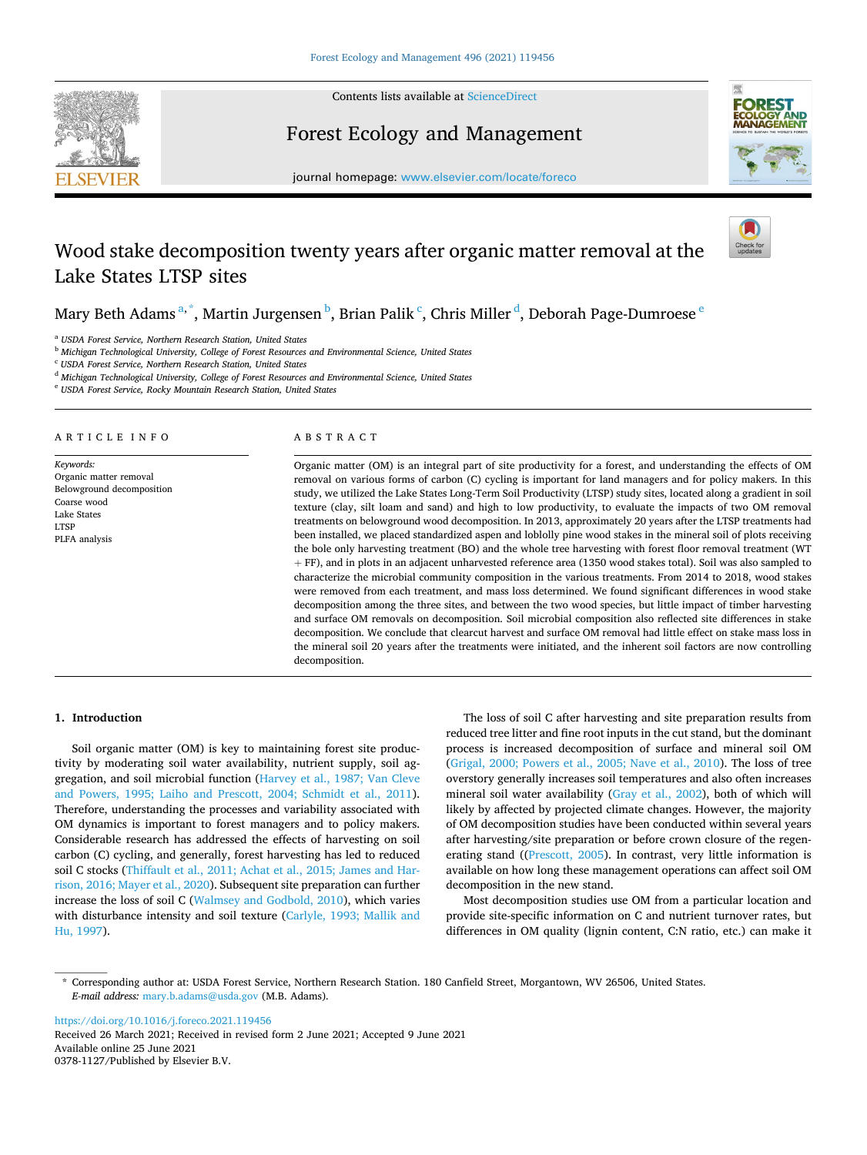

Contents lists available at [ScienceDirect](www.sciencedirect.com/science/journal/03781127)

Forest Ecology and Management



journal homepage: [www.elsevier.com/locate/foreco](https://www.elsevier.com/locate/foreco)

# Wood stake decomposition twenty years after organic matter removal at the Lake States LTSP sites

Mary Beth Adams <sup>a, \*</sup>, Martin Jurgensen <sup>b</sup>, Brian Palik <sup>c</sup>, Chris Miller <sup>d</sup>, Deborah Page-Dumroese <sup>e</sup>

<sup>a</sup> *USDA Forest Service, Northern Research Station, United States* 

<sup>b</sup> *Michigan Technological University, College of Forest Resources and Environmental Science, United States* 

<sup>c</sup> *USDA Forest Service, Northern Research Station, United States* 

<sup>d</sup> *Michigan Technological University, College of Forest Resources and Environmental Science, United States* 

<sup>e</sup> *USDA Forest Service, Rocky Mountain Research Station, United States* 

ARTICLE INFO

*Keywords:*  Organic matter removal Belowground decomposition Coarse wood Lake States LTSP PLFA analysis

## ABSTRACT

Organic matter (OM) is an integral part of site productivity for a forest, and understanding the effects of OM removal on various forms of carbon (C) cycling is important for land managers and for policy makers. In this study, we utilized the Lake States Long-Term Soil Productivity (LTSP) study sites, located along a gradient in soil texture (clay, silt loam and sand) and high to low productivity, to evaluate the impacts of two OM removal treatments on belowground wood decomposition. In 2013, approximately 20 years after the LTSP treatments had been installed, we placed standardized aspen and loblolly pine wood stakes in the mineral soil of plots receiving the bole only harvesting treatment (BO) and the whole tree harvesting with forest floor removal treatment (WT + FF), and in plots in an adjacent unharvested reference area (1350 wood stakes total). Soil was also sampled to characterize the microbial community composition in the various treatments. From 2014 to 2018, wood stakes were removed from each treatment, and mass loss determined. We found significant differences in wood stake decomposition among the three sites, and between the two wood species, but little impact of timber harvesting and surface OM removals on decomposition. Soil microbial composition also reflected site differences in stake decomposition. We conclude that clearcut harvest and surface OM removal had little effect on stake mass loss in the mineral soil 20 years after the treatments were initiated, and the inherent soil factors are now controlling decomposition.

## **1. Introduction**

Soil organic matter (OM) is key to maintaining forest site productivity by moderating soil water availability, nutrient supply, soil aggregation, and soil microbial function [\(Harvey et al., 1987; Van Cleve](#page-6-0)  [and Powers, 1995; Laiho and Prescott, 2004; Schmidt et al., 2011](#page-6-0)). Therefore, understanding the processes and variability associated with OM dynamics is important to forest managers and to policy makers. Considerable research has addressed the effects of harvesting on soil carbon (C) cycling, and generally, forest harvesting has led to reduced soil C stocks ([Thiffault et al., 2011; Achat et al., 2015; James and Har](#page-6-0)[rison, 2016; Mayer et al., 2020](#page-6-0)). Subsequent site preparation can further increase the loss of soil C [\(Walmsey and Godbold, 2010\)](#page-6-0), which varies with disturbance intensity and soil texture ([Carlyle, 1993; Mallik and](#page-5-0)  [Hu, 1997\)](#page-5-0).

The loss of soil C after harvesting and site preparation results from reduced tree litter and fine root inputs in the cut stand, but the dominant process is increased decomposition of surface and mineral soil OM ([Grigal, 2000; Powers et al., 2005; Nave et al., 2010\)](#page-5-0). The loss of tree overstory generally increases soil temperatures and also often increases mineral soil water availability ([Gray et al., 2002](#page-5-0)), both of which will likely by affected by projected climate changes. However, the majority of OM decomposition studies have been conducted within several years after harvesting/site preparation or before crown closure of the regenerating stand ([\(Prescott, 2005](#page-6-0)). In contrast, very little information is available on how long these management operations can affect soil OM decomposition in the new stand.

Most decomposition studies use OM from a particular location and provide site-specific information on C and nutrient turnover rates, but differences in OM quality (lignin content, C:N ratio, etc.) can make it

<https://doi.org/10.1016/j.foreco.2021.119456>

Available online 25 June 2021 0378-1127/Published by Elsevier B.V. Received 26 March 2021; Received in revised form 2 June 2021; Accepted 9 June 2021

<sup>\*</sup> Corresponding author at: USDA Forest Service, Northern Research Station. 180 Canfield Street, Morgantown, WV 26506, United States. *E-mail address:* [mary.b.adams@usda.gov](mailto:mary.b.adams@usda.gov) (M.B. Adams).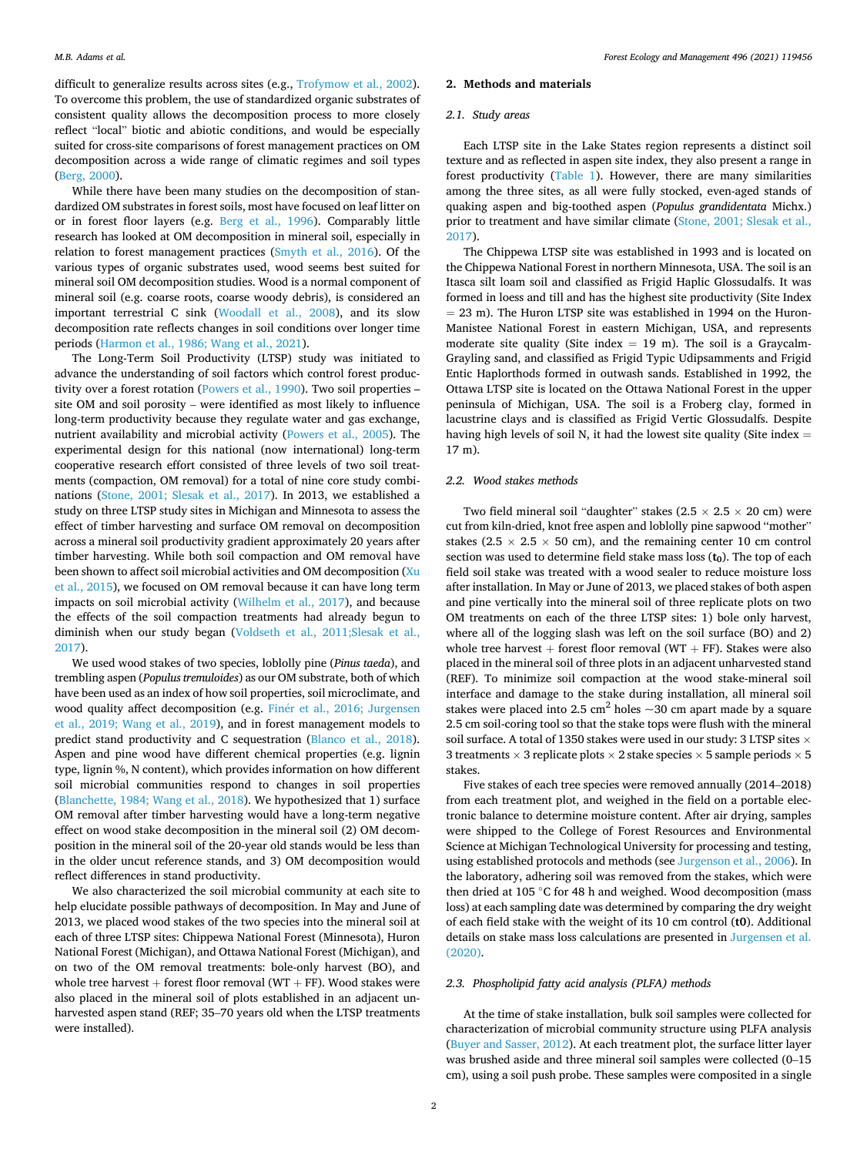difficult to generalize results across sites (e.g., [Trofymow et al., 2002](#page-6-0)). To overcome this problem, the use of standardized organic substrates of consistent quality allows the decomposition process to more closely reflect "local" biotic and abiotic conditions, and would be especially suited for cross-site comparisons of forest management practices on OM decomposition across a wide range of climatic regimes and soil types ([Berg, 2000](#page-5-0)).

While there have been many studies on the decomposition of standardized OM substrates in forest soils, most have focused on leaf litter on or in forest floor layers (e.g. [Berg et al., 1996](#page-5-0)). Comparably little research has looked at OM decomposition in mineral soil, especially in relation to forest management practices ([Smyth et al., 2016\)](#page-6-0). Of the various types of organic substrates used, wood seems best suited for mineral soil OM decomposition studies. Wood is a normal component of mineral soil (e.g. coarse roots, coarse woody debris), is considered an important terrestrial C sink [\(Woodall et al., 2008\)](#page-6-0), and its slow decomposition rate reflects changes in soil conditions over longer time periods ([Harmon et al., 1986; Wang et al., 2021\)](#page-5-0).

The Long-Term Soil Productivity (LTSP) study was initiated to advance the understanding of soil factors which control forest productivity over a forest rotation ([Powers et al., 1990\)](#page-6-0). Two soil properties – site OM and soil porosity – were identified as most likely to influence long-term productivity because they regulate water and gas exchange, nutrient availability and microbial activity [\(Powers et al., 2005](#page-6-0)). The experimental design for this national (now international) long-term cooperative research effort consisted of three levels of two soil treatments (compaction, OM removal) for a total of nine core study combinations ([Stone, 2001; Slesak et al., 2017\)](#page-6-0). In 2013, we established a study on three LTSP study sites in Michigan and Minnesota to assess the effect of timber harvesting and surface OM removal on decomposition across a mineral soil productivity gradient approximately 20 years after timber harvesting. While both soil compaction and OM removal have been shown to affect soil microbial activities and OM decomposition [\(Xu](#page-6-0)  [et al., 2015\)](#page-6-0), we focused on OM removal because it can have long term impacts on soil microbial activity [\(Wilhelm et al., 2017](#page-6-0)), and because the effects of the soil compaction treatments had already begun to diminish when our study began ([Voldseth et al., 2011;Slesak et al.,](#page-6-0)  [2017\)](#page-6-0).

We used wood stakes of two species, loblolly pine (*Pinus taeda*), and trembling aspen (*Populus tremuloides*) as our OM substrate, both of which have been used as an index of how soil properties, soil microclimate, and wood quality affect decomposition (e.g. Finér et al., 2016; Jurgensen [et al., 2019; Wang et al., 2019\)](#page-5-0), and in forest management models to predict stand productivity and C sequestration ([Blanco et al., 2018](#page-5-0)). Aspen and pine wood have different chemical properties (e.g. lignin type, lignin %, N content), which provides information on how different soil microbial communities respond to changes in soil properties ([Blanchette, 1984; Wang et al., 2018](#page-5-0)). We hypothesized that 1) surface OM removal after timber harvesting would have a long-term negative effect on wood stake decomposition in the mineral soil (2) OM decomposition in the mineral soil of the 20-year old stands would be less than in the older uncut reference stands, and 3) OM decomposition would reflect differences in stand productivity.

We also characterized the soil microbial community at each site to help elucidate possible pathways of decomposition. In May and June of 2013, we placed wood stakes of the two species into the mineral soil at each of three LTSP sites: Chippewa National Forest (Minnesota), Huron National Forest (Michigan), and Ottawa National Forest (Michigan), and on two of the OM removal treatments: bole-only harvest (BO), and whole tree harvest  $+$  forest floor removal (WT  $+$  FF). Wood stakes were also placed in the mineral soil of plots established in an adjacent unharvested aspen stand (REF; 35–70 years old when the LTSP treatments were installed).

## **2. Methods and materials**

## *2.1. Study areas*

Each LTSP site in the Lake States region represents a distinct soil texture and as reflected in aspen site index, they also present a range in forest productivity [\(Table 1\)](#page-2-0). However, there are many similarities among the three sites, as all were fully stocked, even-aged stands of quaking aspen and big-toothed aspen (*Populus grandidentata* Michx.) prior to treatment and have similar climate [\(Stone, 2001; Slesak et al.,](#page-6-0)  [2017\)](#page-6-0).

The Chippewa LTSP site was established in 1993 and is located on the Chippewa National Forest in northern Minnesota, USA. The soil is an Itasca silt loam soil and classified as Frigid Haplic Glossudalfs. It was formed in loess and till and has the highest site productivity (Site Index  $= 23$  m). The Huron LTSP site was established in 1994 on the Huron-Manistee National Forest in eastern Michigan, USA, and represents moderate site quality (Site index  $= 19$  m). The soil is a Graycalm-Grayling sand, and classified as Frigid Typic Udipsamments and Frigid Entic Haplorthods formed in outwash sands. Established in 1992, the Ottawa LTSP site is located on the Ottawa National Forest in the upper peninsula of Michigan, USA. The soil is a Froberg clay, formed in lacustrine clays and is classified as Frigid Vertic Glossudalfs. Despite having high levels of soil N, it had the lowest site quality (Site index  $=$ 17 m).

## *2.2. Wood stakes methods*

Two field mineral soil "daughter" stakes ( $2.5 \times 2.5 \times 20$  cm) were cut from kiln-dried, knot free aspen and loblolly pine sapwood ''mother" stakes (2.5  $\times$  2.5  $\times$  50 cm), and the remaining center 10 cm control section was used to determine field stake mass loss  $(t_0)$ . The top of each field soil stake was treated with a wood sealer to reduce moisture loss after installation. In May or June of 2013, we placed stakes of both aspen and pine vertically into the mineral soil of three replicate plots on two OM treatments on each of the three LTSP sites: 1) bole only harvest, where all of the logging slash was left on the soil surface (BO) and 2) whole tree harvest  $+$  forest floor removal (WT  $+$  FF). Stakes were also placed in the mineral soil of three plots in an adjacent unharvested stand (REF). To minimize soil compaction at the wood stake-mineral soil interface and damage to the stake during installation, all mineral soil stakes were placed into 2.5 cm<sup>2</sup> holes  $\sim$ 30 cm apart made by a square 2.5 cm soil-coring tool so that the stake tops were flush with the mineral soil surface. A total of 1350 stakes were used in our study: 3 LTSP sites  $\times$ 3 treatments  $\times$  3 replicate plots  $\times$  2 stake species  $\times$  5 sample periods  $\times$  5 stakes.

Five stakes of each tree species were removed annually (2014–2018) from each treatment plot, and weighed in the field on a portable electronic balance to determine moisture content. After air drying, samples were shipped to the College of Forest Resources and Environmental Science at Michigan Technological University for processing and testing, using established protocols and methods (see [Jurgenson et al., 2006](#page-6-0)). In the laboratory, adhering soil was removed from the stakes, which were then dried at 105 ◦C for 48 h and weighed. Wood decomposition (mass loss) at each sampling date was determined by comparing the dry weight of each field stake with the weight of its 10 cm control (**t0**). Additional details on stake mass loss calculations are presented in [Jurgensen et al.](#page-6-0)  [\(2020\).](#page-6-0)

#### *2.3. Phospholipid fatty acid analysis (PLFA) methods*

At the time of stake installation, bulk soil samples were collected for characterization of microbial community structure using PLFA analysis ([Buyer and Sasser, 2012\)](#page-5-0). At each treatment plot, the surface litter layer was brushed aside and three mineral soil samples were collected (0–15 cm), using a soil push probe. These samples were composited in a single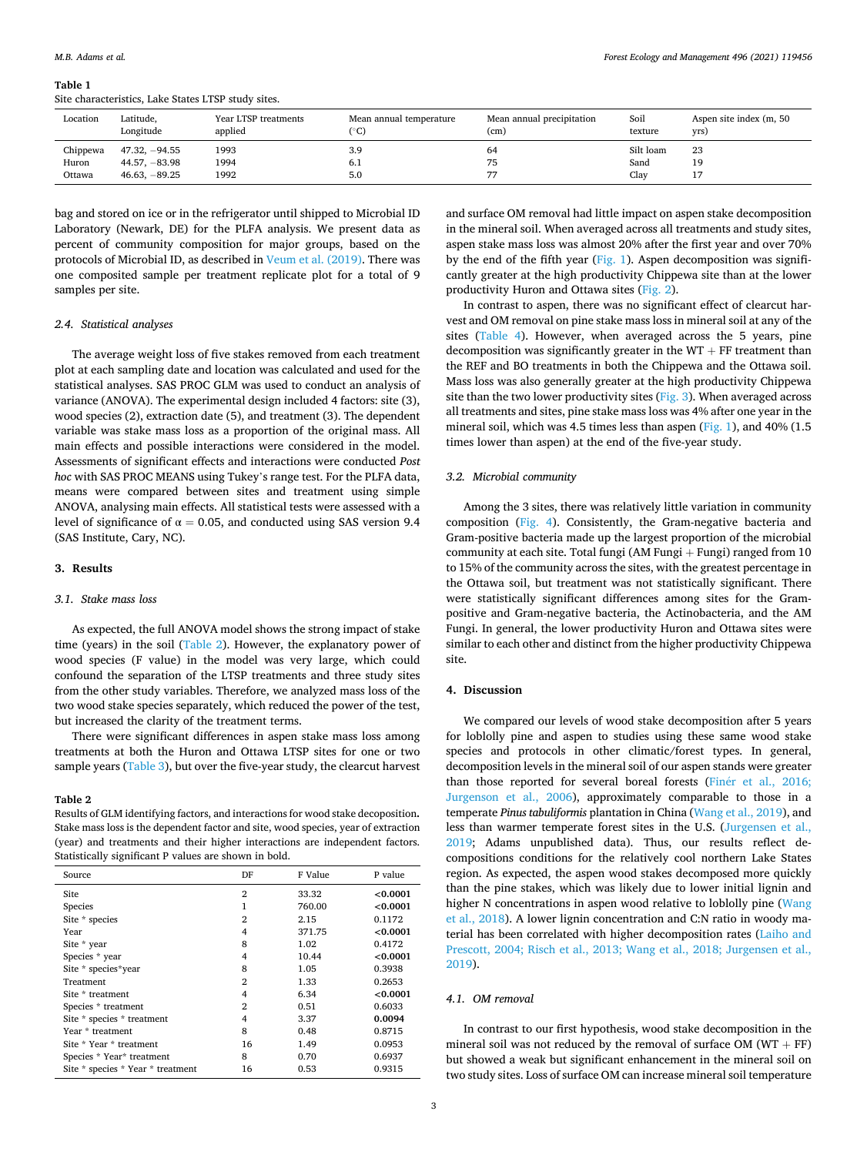#### <span id="page-2-0"></span>**Table 1**

Site characteristics, Lake States LTSP study sites.

| Location                    | Latitude,                                             | Year LTSP treatments | Mean annual temperature | Mean annual precipitation | Soil                      | Aspen site index (m, 50 |
|-----------------------------|-------------------------------------------------------|----------------------|-------------------------|---------------------------|---------------------------|-------------------------|
|                             | Longitude                                             | applied              | (°C)                    | (cm)                      | texture                   | yrs)                    |
| Chippewa<br>Huron<br>Ottawa | $47.32, -94.55$<br>$44.57, -83.98$<br>$46.63, -89.25$ | 1993<br>1994<br>1992 | 3.9<br>6.1<br>5.0       | 64<br>75                  | Silt loam<br>Sand<br>Clay | 23<br>19<br>. .         |

bag and stored on ice or in the refrigerator until shipped to Microbial ID Laboratory (Newark, DE) for the PLFA analysis. We present data as percent of community composition for major groups, based on the protocols of Microbial ID, as described in [Veum et al. \(2019\).](#page-6-0) There was one composited sample per treatment replicate plot for a total of 9 samples per site.

#### *2.4. Statistical analyses*

The average weight loss of five stakes removed from each treatment plot at each sampling date and location was calculated and used for the statistical analyses. SAS PROC GLM was used to conduct an analysis of variance (ANOVA). The experimental design included 4 factors: site (3), wood species (2), extraction date (5), and treatment (3). The dependent variable was stake mass loss as a proportion of the original mass. All main effects and possible interactions were considered in the model. Assessments of significant effects and interactions were conducted *Post hoc* with SAS PROC MEANS using Tukey's range test. For the PLFA data, means were compared between sites and treatment using simple ANOVA, analysing main effects. All statistical tests were assessed with a level of significance of  $\alpha = 0.05$ , and conducted using SAS version 9.4 (SAS Institute, Cary, NC).

#### **3. Results**

#### *3.1. Stake mass loss*

As expected, the full ANOVA model shows the strong impact of stake time (years) in the soil (Table 2). However, the explanatory power of wood species (F value) in the model was very large, which could confound the separation of the LTSP treatments and three study sites from the other study variables. Therefore, we analyzed mass loss of the two wood stake species separately, which reduced the power of the test, but increased the clarity of the treatment terms.

There were significant differences in aspen stake mass loss among treatments at both the Huron and Ottawa LTSP sites for one or two sample years [\(Table 3](#page-3-0)), but over the five-year study, the clearcut harvest

#### **Table 2**

Results of GLM identifying factors, and interactions for wood stake decoposition**.**  Stake mass loss is the dependent factor and site, wood species, year of extraction (year) and treatments and their higher interactions are independent factors. Statistically significant P values are shown in bold.

| Source                            | DF             | F Value | P value  |
|-----------------------------------|----------------|---------|----------|
| Site                              | $\overline{2}$ | 33.32   | < 0.0001 |
| Species                           | 1              | 760.00  | < 0.0001 |
| Site * species                    | $\overline{2}$ | 2.15    | 0.1172   |
| Year                              | 4              | 371.75  | < 0.0001 |
| Site * year                       | 8              | 1.02    | 0.4172   |
| Species * year                    | 4              | 10.44   | < 0.0001 |
| Site * species*year               | 8              | 1.05    | 0.3938   |
| Treatment                         | $\overline{2}$ | 1.33    | 0.2653   |
| Site * treatment                  | $\overline{4}$ | 6.34    | < 0.0001 |
| Species * treatment               | $\overline{2}$ | 0.51    | 0.6033   |
| Site * species * treatment        | 4              | 3.37    | 0.0094   |
| Year * treatment                  | 8              | 0.48    | 0.8715   |
| Site * Year * treatment           | 16             | 1.49    | 0.0953   |
| Species * Year* treatment         | 8              | 0.70    | 0.6937   |
| Site * species * Year * treatment | 16             | 0.53    | 0.9315   |

and surface OM removal had little impact on aspen stake decomposition in the mineral soil. When averaged across all treatments and study sites, aspen stake mass loss was almost 20% after the first year and over 70% by the end of the fifth year [\(Fig. 1\)](#page-3-0). Aspen decomposition was significantly greater at the high productivity Chippewa site than at the lower productivity Huron and Ottawa sites [\(Fig. 2](#page-3-0)).

In contrast to aspen, there was no significant effect of clearcut harvest and OM removal on pine stake mass loss in mineral soil at any of the sites [\(Table 4](#page-4-0)). However, when averaged across the 5 years, pine decomposition was significantly greater in the  $WT + FF$  treatment than the REF and BO treatments in both the Chippewa and the Ottawa soil. Mass loss was also generally greater at the high productivity Chippewa site than the two lower productivity sites ([Fig. 3](#page-4-0)). When averaged across all treatments and sites, pine stake mass loss was 4% after one year in the mineral soil, which was 4.5 times less than aspen [\(Fig. 1](#page-3-0)), and 40% (1.5 times lower than aspen) at the end of the five-year study.

## *3.2. Microbial community*

Among the 3 sites, there was relatively little variation in community composition [\(Fig. 4\)](#page-4-0). Consistently, the Gram-negative bacteria and Gram-positive bacteria made up the largest proportion of the microbial community at each site. Total fungi (AM Fungi  $+$  Fungi) ranged from 10 to 15% of the community across the sites, with the greatest percentage in the Ottawa soil, but treatment was not statistically significant. There were statistically significant differences among sites for the Grampositive and Gram-negative bacteria, the Actinobacteria, and the AM Fungi. In general, the lower productivity Huron and Ottawa sites were similar to each other and distinct from the higher productivity Chippewa site.

## **4. Discussion**

We compared our levels of wood stake decomposition after 5 years for loblolly pine and aspen to studies using these same wood stake species and protocols in other climatic/forest types. In general, decomposition levels in the mineral soil of our aspen stands were greater than those reported for several boreal forests (Finer et al., 2016; [Jurgenson et al., 2006](#page-5-0)), approximately comparable to those in a temperate *Pinus tabuliformis* plantation in China ([Wang et al., 2019\)](#page-6-0), and less than warmer temperate forest sites in the U.S. ([Jurgensen et al.,](#page-6-0)  [2019;](#page-6-0) Adams unpublished data). Thus, our results reflect decompositions conditions for the relatively cool northern Lake States region. As expected, the aspen wood stakes decomposed more quickly than the pine stakes, which was likely due to lower initial lignin and higher N concentrations in aspen wood relative to loblolly pine ([Wang](#page-6-0)  [et al., 2018\)](#page-6-0). A lower lignin concentration and C:N ratio in woody material has been correlated with higher decomposition rates [\(Laiho and](#page-6-0)  [Prescott, 2004; Risch et al., 2013; Wang et al., 2018; Jurgensen et al.,](#page-6-0)  [2019\)](#page-6-0).

## *4.1. OM removal*

In contrast to our first hypothesis, wood stake decomposition in the mineral soil was not reduced by the removal of surface OM ( $WT + FF$ ) but showed a weak but significant enhancement in the mineral soil on two study sites. Loss of surface OM can increase mineral soil temperature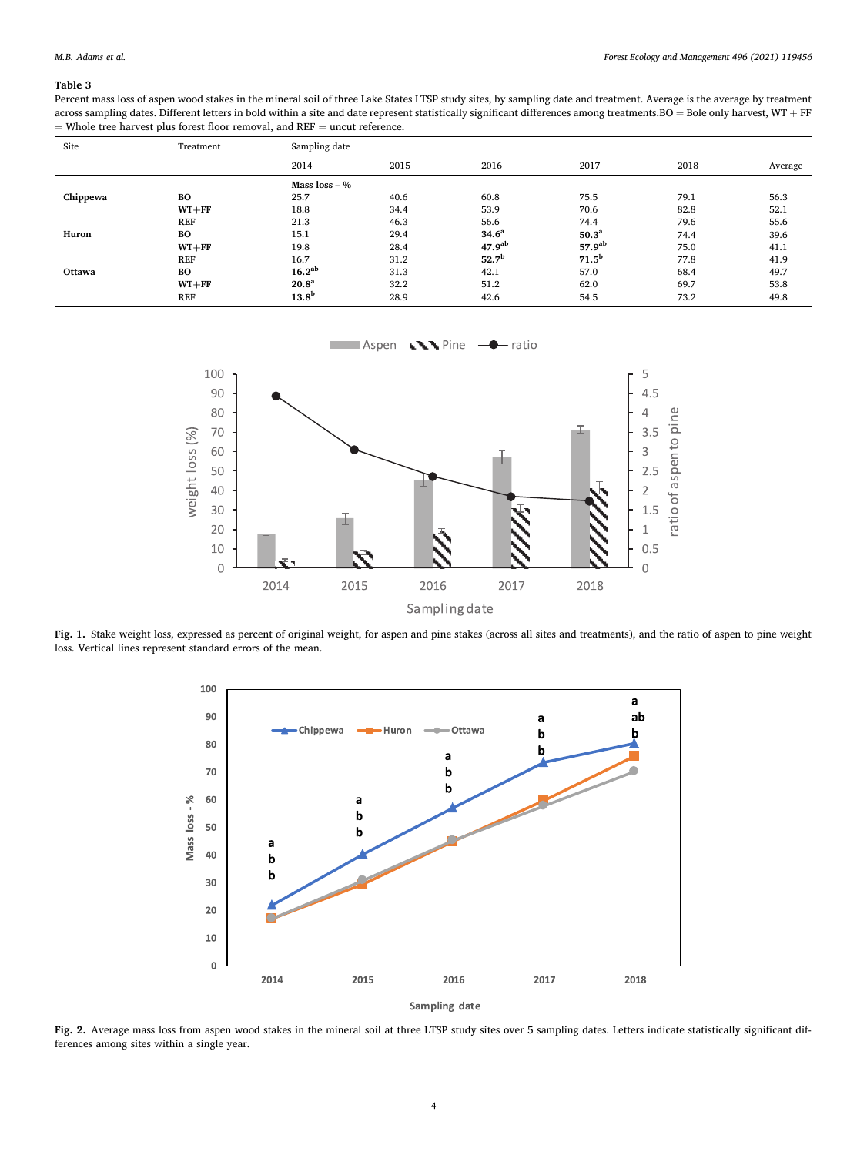## <span id="page-3-0"></span>**Table 3**

Percent mass loss of aspen wood stakes in the mineral soil of three Lake States LTSP study sites, by sampling date and treatment. Average is the average by treatment across sampling dates. Different letters in bold within a site and date represent statistically significant differences among treatments.BO = Bole only harvest, WT + FF  $=$  Whole tree harvest plus forest floor removal, and REF  $=$  uncut reference.

| Site     | Treatment  | Sampling date     |      |                    |                    |      |         |
|----------|------------|-------------------|------|--------------------|--------------------|------|---------|
|          |            | 2014              | 2015 | 2016               | 2017               | 2018 | Average |
|          |            | Mass $loss - %$   |      |                    |                    |      |         |
| Chippewa | BO         | 25.7              | 40.6 | 60.8               | 75.5               | 79.1 | 56.3    |
|          | $WT + FF$  | 18.8              | 34.4 | 53.9               | 70.6               | 82.8 | 52.1    |
|          | <b>REF</b> | 21.3              | 46.3 | 56.6               | 74.4               | 79.6 | 55.6    |
| Huron    | BO         | 15.1              | 29.4 | 34.6 <sup>a</sup>  | 50.3 <sup>a</sup>  | 74.4 | 39.6    |
|          | $WT + FF$  | 19.8              | 28.4 | 47.9 <sup>ab</sup> | 57.9 <sup>ab</sup> | 75.0 | 41.1    |
|          | <b>REF</b> | 16.7              | 31.2 | $52.7^{b}$         | $71.5^b$           | 77.8 | 41.9    |
| Ottawa   | BO         | $16.2^{ab}$       | 31.3 | 42.1               | 57.0               | 68.4 | 49.7    |
|          | $WT + FF$  | 20.8 <sup>a</sup> | 32.2 | 51.2               | 62.0               | 69.7 | 53.8    |
|          | <b>REF</b> | 13.8 <sup>b</sup> | 28.9 | 42.6               | 54.5               | 73.2 | 49.8    |



**Fig. 1.** Stake weight loss, expressed as percent of original weight, for aspen and pine stakes (across all sites and treatments), and the ratio of aspen to pine weight loss. Vertical lines represent standard errors of the mean.



Fig. 2. Average mass loss from aspen wood stakes in the mineral soil at three LTSP study sites over 5 sampling dates. Letters indicate statistically significant differences among sites within a single year.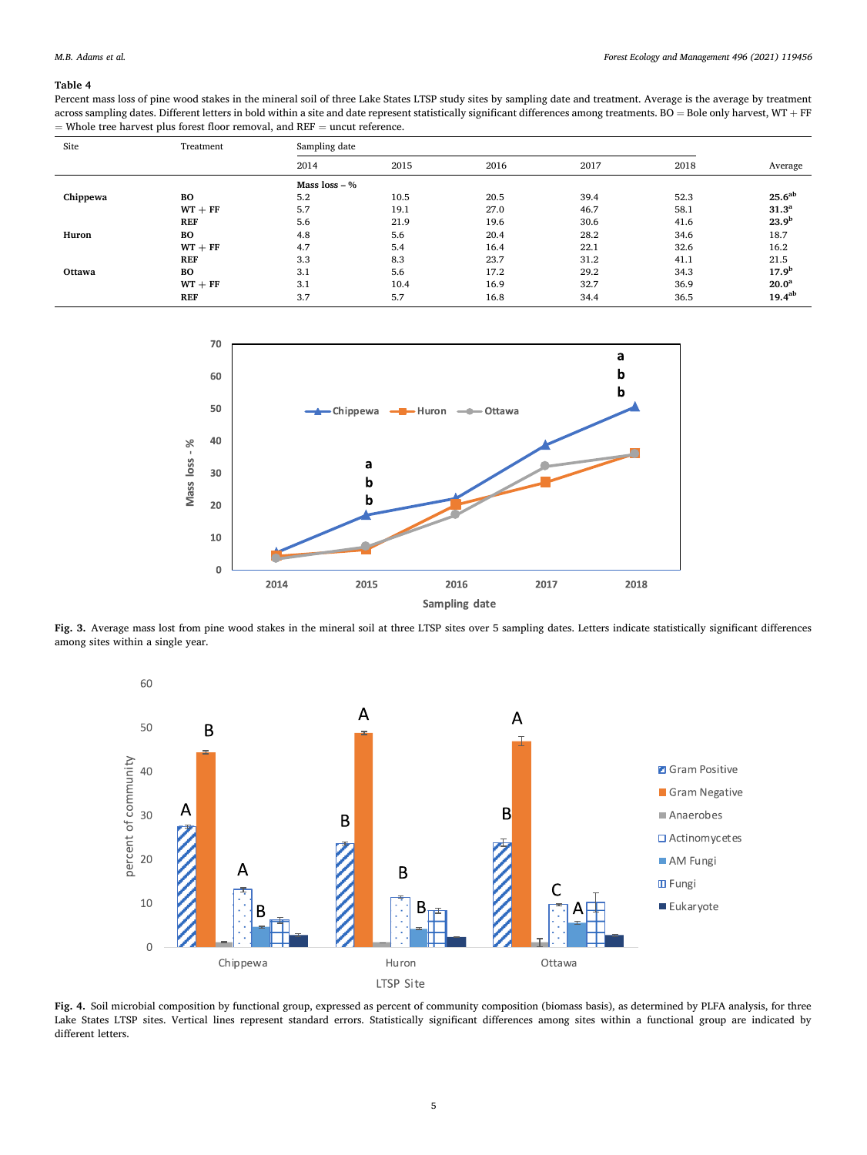## <span id="page-4-0"></span>**Table 4**

Percent mass loss of pine wood stakes in the mineral soil of three Lake States LTSP study sites by sampling date and treatment. Average is the average by treatment across sampling dates. Different letters in bold within a site and date represent statistically significant differences among treatments.  $B\overline{O} =$  Bole only harvest, WT + FF  $=$  Whole tree harvest plus forest floor removal, and REF  $=$  uncut reference.

| Site     | Treatment  | Sampling date   |      |      |      |      |                   |
|----------|------------|-----------------|------|------|------|------|-------------------|
|          |            | 2014            | 2015 | 2016 | 2017 | 2018 | Average           |
|          |            | Mass $loss - %$ |      |      |      |      |                   |
| Chippewa | BO         | 5.2             | 10.5 | 20.5 | 39.4 | 52.3 | $25.6^{ab}$       |
|          | $WT + FF$  | 5.7             | 19.1 | 27.0 | 46.7 | 58.1 | 31.3 <sup>a</sup> |
|          | <b>REF</b> | 5.6             | 21.9 | 19.6 | 30.6 | 41.6 | 23.9 <sup>b</sup> |
| Huron    | BО         | 4.8             | 5.6  | 20.4 | 28.2 | 34.6 | 18.7              |
|          | $WT + FF$  | 4.7             | 5.4  | 16.4 | 22.1 | 32.6 | 16.2              |
|          | <b>REF</b> | 3.3             | 8.3  | 23.7 | 31.2 | 41.1 | 21.5              |
| Ottawa   | BО         | 3.1             | 5.6  | 17.2 | 29.2 | 34.3 | 17.9 <sup>b</sup> |
|          | $WT + FF$  | 3.1             | 10.4 | 16.9 | 32.7 | 36.9 | 20.0 <sup>a</sup> |
|          | <b>REF</b> | 3.7             | 5.7  | 16.8 | 34.4 | 36.5 | $19.4^{ab}$       |



**Fig. 3.** Average mass lost from pine wood stakes in the mineral soil at three LTSP sites over 5 sampling dates. Letters indicate statistically significant differences among sites within a single year.



**Fig. 4.** Soil microbial composition by functional group, expressed as percent of community composition (biomass basis), as determined by PLFA analysis, for three Lake States LTSP sites. Vertical lines represent standard errors. Statistically significant differences among sites within a functional group are indicated by different letters.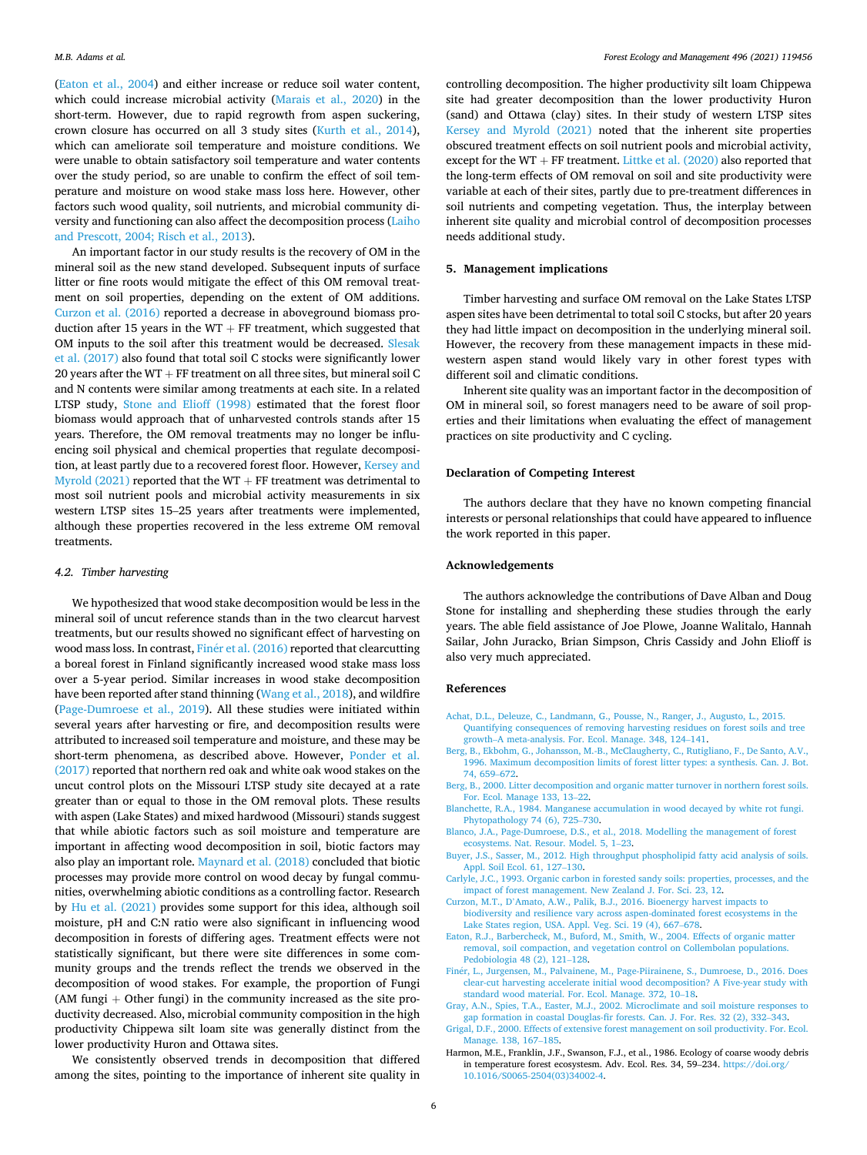<span id="page-5-0"></span>(Eaton et al., 2004) and either increase or reduce soil water content, which could increase microbial activity [\(Marais et al., 2020\)](#page-6-0) in the short-term. However, due to rapid regrowth from aspen suckering, crown closure has occurred on all 3 study sites ([Kurth et al., 2014](#page-6-0)), which can ameliorate soil temperature and moisture conditions. We were unable to obtain satisfactory soil temperature and water contents over the study period, so are unable to confirm the effect of soil temperature and moisture on wood stake mass loss here. However, other factors such wood quality, soil nutrients, and microbial community diversity and functioning can also affect the decomposition process [\(Laiho](#page-6-0)  [and Prescott, 2004; Risch et al., 2013](#page-6-0)).

An important factor in our study results is the recovery of OM in the mineral soil as the new stand developed. Subsequent inputs of surface litter or fine roots would mitigate the effect of this OM removal treatment on soil properties, depending on the extent of OM additions. Curzon et al. (2016) reported a decrease in aboveground biomass production after 15 years in the  $WT + FF$  treatment, which suggested that OM inputs to the soil after this treatment would be decreased. [Slesak](#page-6-0)  [et al. \(2017\)](#page-6-0) also found that total soil C stocks were significantly lower 20 years after the  $WT + FF$  treatment on all three sites, but mineral soil  $C$ and N contents were similar among treatments at each site. In a related LTSP study, [Stone and Elioff \(1998\)](#page-6-0) estimated that the forest floor biomass would approach that of unharvested controls stands after 15 years. Therefore, the OM removal treatments may no longer be influencing soil physical and chemical properties that regulate decomposition, at least partly due to a recovered forest floor. However, Kersey and [Myrold \(2021\)](#page-6-0) reported that the WT  $+$  FF treatment was detrimental to most soil nutrient pools and microbial activity measurements in six western LTSP sites 15–25 years after treatments were implemented, although these properties recovered in the less extreme OM removal treatments.

## *4.2. Timber harvesting*

We hypothesized that wood stake decomposition would be less in the mineral soil of uncut reference stands than in the two clearcut harvest treatments, but our results showed no significant effect of harvesting on wood mass loss. In contrast, Finér et al. (2016) reported that clearcutting a boreal forest in Finland significantly increased wood stake mass loss over a 5-year period. Similar increases in wood stake decomposition have been reported after stand thinning [\(Wang et al., 2018\)](#page-6-0), and wildfire ([Page-Dumroese et al., 2019\)](#page-6-0). All these studies were initiated within several years after harvesting or fire, and decomposition results were attributed to increased soil temperature and moisture, and these may be short-term phenomena, as described above. However, [Ponder et al.](#page-6-0)  [\(2017\)](#page-6-0) reported that northern red oak and white oak wood stakes on the uncut control plots on the Missouri LTSP study site decayed at a rate greater than or equal to those in the OM removal plots. These results with aspen (Lake States) and mixed hardwood (Missouri) stands suggest that while abiotic factors such as soil moisture and temperature are important in affecting wood decomposition in soil, biotic factors may also play an important role. [Maynard et al. \(2018\)](#page-6-0) concluded that biotic processes may provide more control on wood decay by fungal communities, overwhelming abiotic conditions as a controlling factor. Research by [Hu et al. \(2021\)](#page-6-0) provides some support for this idea, although soil moisture, pH and C:N ratio were also significant in influencing wood decomposition in forests of differing ages. Treatment effects were not statistically significant, but there were site differences in some community groups and the trends reflect the trends we observed in the decomposition of wood stakes. For example, the proportion of Fungi (AM fungi  $+$  Other fungi) in the community increased as the site productivity decreased. Also, microbial community composition in the high productivity Chippewa silt loam site was generally distinct from the lower productivity Huron and Ottawa sites.

We consistently observed trends in decomposition that differed among the sites, pointing to the importance of inherent site quality in

controlling decomposition. The higher productivity silt loam Chippewa site had greater decomposition than the lower productivity Huron (sand) and Ottawa (clay) sites. In their study of western LTSP sites [Kersey and Myrold \(2021\)](#page-6-0) noted that the inherent site properties obscured treatment effects on soil nutrient pools and microbial activity, except for the  $WT + FF$  treatment. [Littke et al. \(2020\)](#page-6-0) also reported that the long-term effects of OM removal on soil and site productivity were variable at each of their sites, partly due to pre-treatment differences in soil nutrients and competing vegetation. Thus, the interplay between inherent site quality and microbial control of decomposition processes needs additional study.

## **5. Management implications**

Timber harvesting and surface OM removal on the Lake States LTSP aspen sites have been detrimental to total soil C stocks, but after 20 years they had little impact on decomposition in the underlying mineral soil. However, the recovery from these management impacts in these midwestern aspen stand would likely vary in other forest types with different soil and climatic conditions.

Inherent site quality was an important factor in the decomposition of OM in mineral soil, so forest managers need to be aware of soil properties and their limitations when evaluating the effect of management practices on site productivity and C cycling.

## **Declaration of Competing Interest**

The authors declare that they have no known competing financial interests or personal relationships that could have appeared to influence the work reported in this paper.

## **Acknowledgements**

The authors acknowledge the contributions of Dave Alban and Doug Stone for installing and shepherding these studies through the early years. The able field assistance of Joe Plowe, Joanne Walitalo, Hannah Sailar, John Juracko, Brian Simpson, Chris Cassidy and John Elioff is also very much appreciated.

## **References**

- [Achat, D.L., Deleuze, C., Landmann, G., Pousse, N., Ranger, J., Augusto, L., 2015.](http://refhub.elsevier.com/S0378-1127(21)00545-4/h0005)  [Quantifying consequences of removing harvesting residues on forest soils and tree](http://refhub.elsevier.com/S0378-1127(21)00545-4/h0005) growth–[A meta-analysis. For. Ecol. Manage. 348, 124](http://refhub.elsevier.com/S0378-1127(21)00545-4/h0005)–141.
- [Berg, B., Ekbohm, G., Johansson, M.-B., McClaugherty, C., Rutigliano, F., De Santo, A.V.,](http://refhub.elsevier.com/S0378-1127(21)00545-4/h0015)  [1996. Maximum decomposition limits of forest litter types: a synthesis. Can. J. Bot.](http://refhub.elsevier.com/S0378-1127(21)00545-4/h0015)  [74, 659](http://refhub.elsevier.com/S0378-1127(21)00545-4/h0015)–672.
- [Berg, B., 2000. Litter decomposition and organic matter turnover in northern forest soils.](http://refhub.elsevier.com/S0378-1127(21)00545-4/h0020)  [For. Ecol. Manage 133, 13](http://refhub.elsevier.com/S0378-1127(21)00545-4/h0020)–22.
- [Blanchette, R.A., 1984. Manganese accumulation in wood decayed by white rot fungi.](http://refhub.elsevier.com/S0378-1127(21)00545-4/h0025)  [Phytopathology 74 \(6\), 725](http://refhub.elsevier.com/S0378-1127(21)00545-4/h0025)–730.
- [Blanco, J.A., Page-Dumroese, D.S., et al., 2018. Modelling the management of forest](http://refhub.elsevier.com/S0378-1127(21)00545-4/h0030) [ecosystems. Nat. Resour. Model. 5, 1](http://refhub.elsevier.com/S0378-1127(21)00545-4/h0030)–23.
- [Buyer, J.S., Sasser, M., 2012. High throughput phospholipid fatty acid analysis of soils.](http://refhub.elsevier.com/S0378-1127(21)00545-4/h0035)  [Appl. Soil Ecol. 61, 127](http://refhub.elsevier.com/S0378-1127(21)00545-4/h0035)–130.
- [Carlyle, J.C., 1993. Organic carbon in forested sandy soils: properties, processes, and the](http://refhub.elsevier.com/S0378-1127(21)00545-4/h0040)  [impact of forest management. New Zealand J. For. Sci. 23, 12.](http://refhub.elsevier.com/S0378-1127(21)00545-4/h0040)
- Curzon, M.T., D'[Amato, A.W., Palik, B.J., 2016. Bioenergy harvest impacts to](http://refhub.elsevier.com/S0378-1127(21)00545-4/h0045)  [biodiversity and resilience vary across aspen-dominated forest ecosystems in the](http://refhub.elsevier.com/S0378-1127(21)00545-4/h0045) [Lake States region, USA. Appl. Veg. Sci. 19 \(4\), 667](http://refhub.elsevier.com/S0378-1127(21)00545-4/h0045)–678.
- [Eaton, R.J., Barbercheck, M., Buford, M., Smith, W., 2004. Effects of organic matter](http://refhub.elsevier.com/S0378-1127(21)00545-4/optGalAVN0uGC) [removal, soil compaction, and vegetation control on Collembolan populations.](http://refhub.elsevier.com/S0378-1127(21)00545-4/optGalAVN0uGC) [Pedobiologia 48 \(2\), 121](http://refhub.elsevier.com/S0378-1127(21)00545-4/optGalAVN0uGC)–128.
- Finér, L., Jurgensen, M., Palvainene, M., Page-Piirainene, S., Dumroese, D., 2016. Does [clear-cut harvesting accelerate initial wood decomposition? A Five-year study with](http://refhub.elsevier.com/S0378-1127(21)00545-4/h0050) [standard wood material. For. Ecol. Manage. 372, 10](http://refhub.elsevier.com/S0378-1127(21)00545-4/h0050)–18.
- [Gray, A.N., Spies, T.A., Easter, M.J., 2002. Microclimate and soil moisture responses to](http://refhub.elsevier.com/S0378-1127(21)00545-4/h0055)  [gap formation in coastal Douglas-fir forests. Can. J. For. Res. 32 \(2\), 332](http://refhub.elsevier.com/S0378-1127(21)00545-4/h0055)–343.
- [Grigal, D.F., 2000. Effects of extensive forest management on soil productivity. For. Ecol.](http://refhub.elsevier.com/S0378-1127(21)00545-4/h0060)  [Manage. 138, 167](http://refhub.elsevier.com/S0378-1127(21)00545-4/h0060)–185.
- Harmon, M.E., Franklin, J.F., Swanson, F.J., et al., 1986. Ecology of coarse woody debris in temperature forest ecosystesm. Adv. Ecol. Res. 34, 59–234. [https://doi.org/](https://doi.org/10.1016/S0065-2504(03)34002-4) [10.1016/S0065-2504\(03\)34002-4.](https://doi.org/10.1016/S0065-2504(03)34002-4)